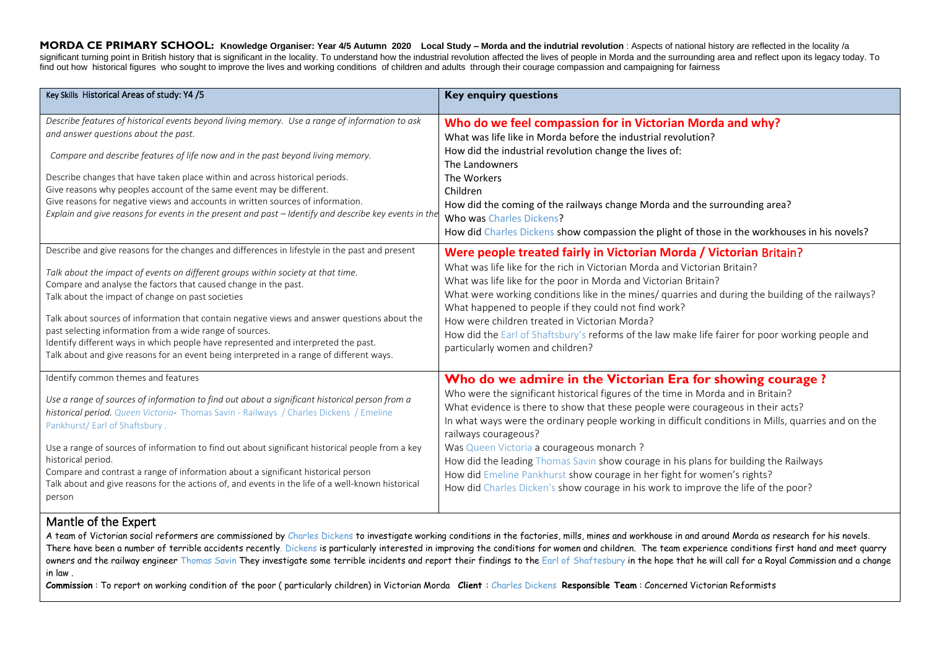**MORDA CE PRIMARY SCHOOL: Knowledge Organiser: Year 4/5 Autumn 2020 Local Study – Morda and the indutrial revolution** : Aspects of national history are reflected in the locality /a significant turning point in British history that is significant in the locality. To understand how the industrial revolution affected the lives of people in Morda and the surrounding area and reflect upon its legacy today find out how historical figures who sought to improve the lives and working conditions of children and adults through their courage compassion and campaigning for fairness

| Key Skills Historical Areas of study: Y4 /5                                                                                                                                                                                                                                                                                                                                                                                                                                                                                                                                   | <b>Key enquiry questions</b>                                                                                                                                                                                                                                                                                                                                                                                                               |
|-------------------------------------------------------------------------------------------------------------------------------------------------------------------------------------------------------------------------------------------------------------------------------------------------------------------------------------------------------------------------------------------------------------------------------------------------------------------------------------------------------------------------------------------------------------------------------|--------------------------------------------------------------------------------------------------------------------------------------------------------------------------------------------------------------------------------------------------------------------------------------------------------------------------------------------------------------------------------------------------------------------------------------------|
| Describe features of historical events beyond living memory. Use a range of information to ask<br>and answer questions about the past.<br>Compare and describe features of life now and in the past beyond living memory.<br>Describe changes that have taken place within and across historical periods.<br>Give reasons why peoples account of the same event may be different.<br>Give reasons for negative views and accounts in written sources of information.<br>Explain and give reasons for events in the present and past - Identify and describe key events in the | Who do we feel compassion for in Victorian Morda and why?<br>What was life like in Morda before the industrial revolution?<br>How did the industrial revolution change the lives of:<br>The Landowners<br>The Workers<br>Children<br>How did the coming of the railways change Morda and the surrounding area?<br>Who was Charles Dickens?<br>How did Charles Dickens show compassion the plight of those in the workhouses in his novels? |
| Describe and give reasons for the changes and differences in lifestyle in the past and present                                                                                                                                                                                                                                                                                                                                                                                                                                                                                | Were people treated fairly in Victorian Morda / Victorian Britain?                                                                                                                                                                                                                                                                                                                                                                         |
| Talk about the impact of events on different groups within society at that time.                                                                                                                                                                                                                                                                                                                                                                                                                                                                                              | What was life like for the rich in Victorian Morda and Victorian Britain?                                                                                                                                                                                                                                                                                                                                                                  |
| Compare and analyse the factors that caused change in the past.                                                                                                                                                                                                                                                                                                                                                                                                                                                                                                               | What was life like for the poor in Morda and Victorian Britain?                                                                                                                                                                                                                                                                                                                                                                            |
| Talk about the impact of change on past societies                                                                                                                                                                                                                                                                                                                                                                                                                                                                                                                             | What were working conditions like in the mines/ quarries and during the building of the railways?                                                                                                                                                                                                                                                                                                                                          |
| Talk about sources of information that contain negative views and answer questions about the                                                                                                                                                                                                                                                                                                                                                                                                                                                                                  | What happened to people if they could not find work?                                                                                                                                                                                                                                                                                                                                                                                       |
| past selecting information from a wide range of sources.                                                                                                                                                                                                                                                                                                                                                                                                                                                                                                                      | How were children treated in Victorian Morda?                                                                                                                                                                                                                                                                                                                                                                                              |
| Identify different ways in which people have represented and interpreted the past.                                                                                                                                                                                                                                                                                                                                                                                                                                                                                            | How did the Earl of Shaftsbury's reforms of the law make life fairer for poor working people and                                                                                                                                                                                                                                                                                                                                           |
| Talk about and give reasons for an event being interpreted in a range of different ways.                                                                                                                                                                                                                                                                                                                                                                                                                                                                                      | particularly women and children?                                                                                                                                                                                                                                                                                                                                                                                                           |
| Identify common themes and features                                                                                                                                                                                                                                                                                                                                                                                                                                                                                                                                           | Who do we admire in the Victorian Era for showing courage?                                                                                                                                                                                                                                                                                                                                                                                 |
| Use a range of sources of information to find out about a significant historical person from a                                                                                                                                                                                                                                                                                                                                                                                                                                                                                | Who were the significant historical figures of the time in Morda and in Britain?                                                                                                                                                                                                                                                                                                                                                           |
| historical period. Queen Victoria- Thomas Savin - Railways / Charles Dickens / Emeline                                                                                                                                                                                                                                                                                                                                                                                                                                                                                        | What evidence is there to show that these people were courageous in their acts?                                                                                                                                                                                                                                                                                                                                                            |
| Pankhurst/Earl of Shaftsbury.                                                                                                                                                                                                                                                                                                                                                                                                                                                                                                                                                 | In what ways were the ordinary people working in difficult conditions in Mills, quarries and on the                                                                                                                                                                                                                                                                                                                                        |
| Use a range of sources of information to find out about significant historical people from a key                                                                                                                                                                                                                                                                                                                                                                                                                                                                              | railways courageous?                                                                                                                                                                                                                                                                                                                                                                                                                       |
| historical period.                                                                                                                                                                                                                                                                                                                                                                                                                                                                                                                                                            | Was Queen Victoria a courageous monarch ?                                                                                                                                                                                                                                                                                                                                                                                                  |
| Compare and contrast a range of information about a significant historical person                                                                                                                                                                                                                                                                                                                                                                                                                                                                                             | How did the leading Thomas Savin show courage in his plans for building the Railways                                                                                                                                                                                                                                                                                                                                                       |
| Talk about and give reasons for the actions of, and events in the life of a well-known historical                                                                                                                                                                                                                                                                                                                                                                                                                                                                             | How did Emeline Pankhurst show courage in her fight for women's rights?                                                                                                                                                                                                                                                                                                                                                                    |
| person                                                                                                                                                                                                                                                                                                                                                                                                                                                                                                                                                                        | How did Charles Dicken's show courage in his work to improve the life of the poor?                                                                                                                                                                                                                                                                                                                                                         |

#### Mantle of the Expert

A team of Victorian social reformers are commissioned by Charles Dickens to investigate working conditions in the factories, mills, mines and workhouse in and around Morda as research for his novels. There have been a number of terrible accidents recently. Dickens is particularly interested in improving the conditions for women and children. The team experience conditions first hand and meet quarry owners and the railway engineer Thomas Savin They investigate some terrible incidents and report their findings to the Earl of Shaftesbury in the hope that he will call for a Royal Commission and a change in law .

**Commission** : To report on working condition of the poor ( particularly children) in Victorian Morda **Client** : Charles Dickens **Responsible Team** : Concerned Victorian Reformists